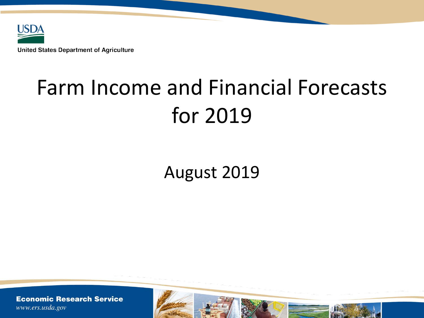

# Farm Income and Financial Forecasts for 2019

## August 2019

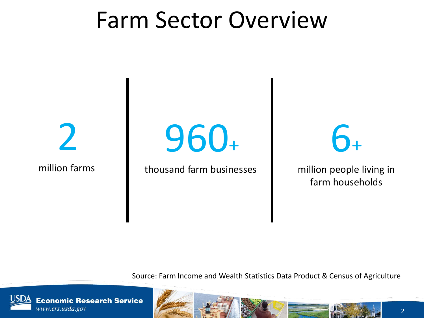# Farm Sector Overview

2

million farms

960+

thousand farm businesses

 $6<sub>+</sub>$ 

million people living in farm households

Source: Farm Income and Wealth Statistics Data Product & Census of Agriculture

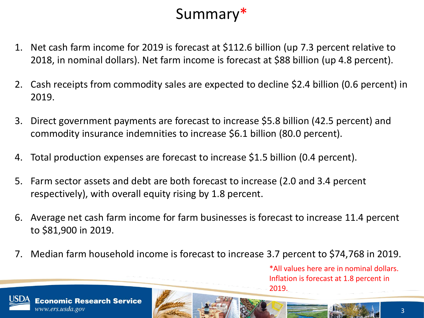

- 1. Net cash farm income for 2019 is forecast at \$112.6 billion (up 7.3 percent relative to 2018, in nominal dollars). Net farm income is forecast at \$88 billion (up 4.8 percent).
- 2. Cash receipts from commodity sales are expected to decline \$2.4 billion (0.6 percent) in 2019.
- 3. Direct government payments are forecast to increase \$5.8 billion (42.5 percent) and commodity insurance indemnities to increase \$6.1 billion (80.0 percent).
- 4. Total production expenses are forecast to increase \$1.5 billion (0.4 percent).
- 5. Farm sector assets and debt are both forecast to increase (2.0 and 3.4 percent respectively), with overall equity rising by 1.8 percent.
- 6. Average net cash farm income for farm businesses is forecast to increase 11.4 percent to \$81,900 in 2019.
- 7. Median farm household income is forecast to increase 3.7 percent to \$74,768 in 2019.

\*All values here are in nominal dollars. Inflation is forecast at 1.8 percent in 2019.

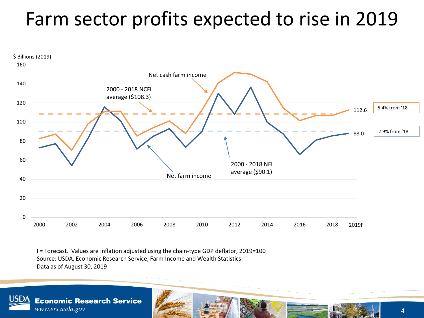## Farm sector profits expected to rise in 2019



F= Forecast. Values are inflation adjusted using the chain-type GDP deflator, 2019=100 Source: USDA, Economic Research Service, Farm Income and Wealth Statistics Data as of August 30, 2019

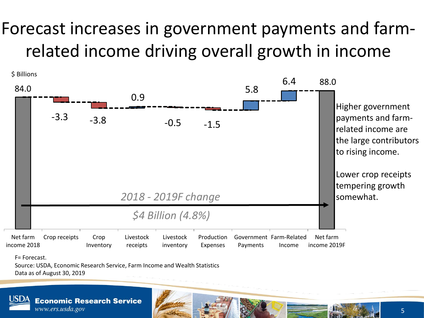## Forecast increases in government payments and farmrelated income driving overall growth in income



Source: USDA, Economic Research Service, Farm Income and Wealth Statistics Data as of August 30, 2019

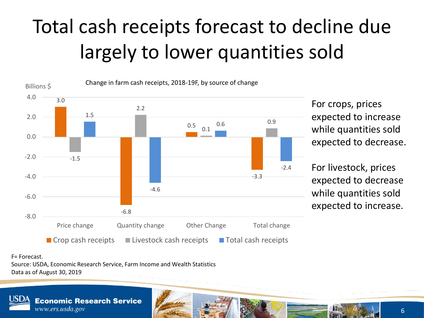# Total cash receipts forecast to decline due largely to lower quantities sold



For crops, prices expected to increase while quantities sold expected to decrease.

For livestock, prices expected to decrease while quantities sold expected to increase.

F= Forecast.

Source: USDA, Economic Research Service, Farm Income and Wealth Statistics Data as of August 30, 2019

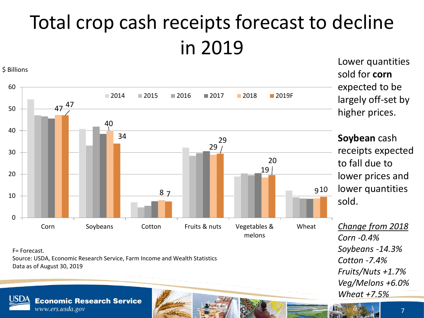### Total crop cash receipts forecast to decline in 2019 Lower quantities



F= Forecast.

Source: USDA, Economic Research Service, Farm Income and Wealth Statistics Data as of August 30, 2019



**Economic Research Service** 

largely off-set by higher prices. **Soybean** cash receipts expected to fall due to lower prices and

lower quantities sold.

*Change from 2018 Corn -0.4% Soybeans -14.3% Cotton -7.4% Fruits/Nuts +1.7% Veg/Melons +6.0% Wheat +7.5%*

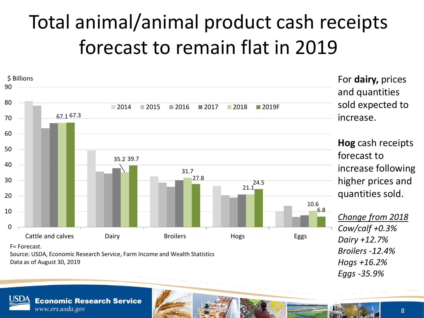# Total animal/animal product cash receipts forecast to remain flat in 2019



**Economic Research Service** www.ers.usda.gov

8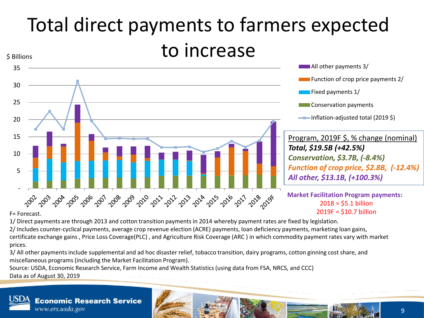### Total direct payments to farmers expected to increase \$ Billions



1/ Direct payments are through 2013 and cotton transition payments in 2014 whereby payment rates are fixed by legislation.

2/ Includes counter-cyclical payments, average crop revenue election (ACRE) payments, loan deficiency payments, marketing loan gains, certificate exchange gains , Price Loss Coverage(PLC) , and Agriculture Risk Coverage (ARC ) in which commodity payment rates vary with market prices.

3/ All other payments include supplemental and ad hoc disaster relief, tobacco transition, dairy programs, cotton ginning cost share, and miscellaneous programs (including the Market Facilitation Program).

Source: USDA, Economic Research Service, Farm Income and Wealth Statistics (using data from FSA, NRCS, and CCC) Data as of August 30, 2019

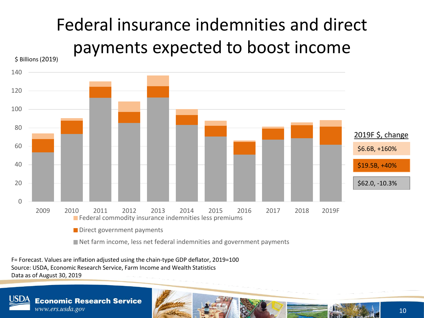## Federal insurance indemnities and direct payments expected to boost income



F= Forecast. Values are inflation adjusted using the chain-type GDP deflator, 2019=100 Source: USDA, Economic Research Service, Farm Income and Wealth Statistics Data as of August 30, 2019

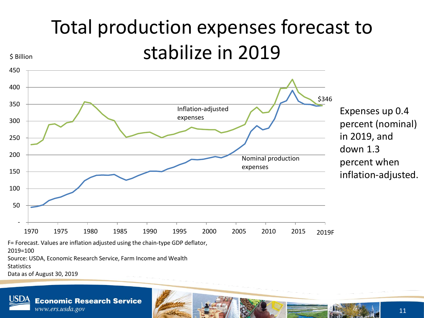# Total production expenses forecast to stabilize in 2019



Expenses up 0.4 percent (nominal) in 2019, and down 1.3 percent when inflation-adjusted.

F= Forecast. Values are inflation adjusted using the chain-type GDP deflator,

2019=100

\$ Billion

Source: USDA, Economic Research Service, Farm Income and Wealth

**Statistics** 

Data as of August 30, 2019

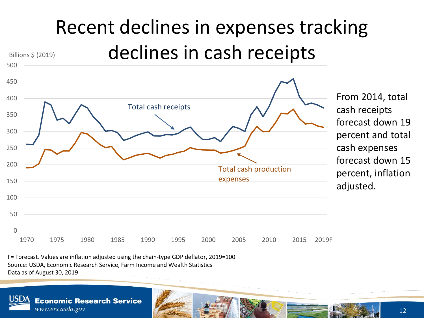### Recent declines in expenses tracking declines in cash receipts Billions \$ (2019)



From 2014, total cash receipts forecast down 19 percent and total cash expenses forecast down 15 percent, inflation adjusted.

F= Forecast. Values are inflation adjusted using the chain-type GDP deflator, 2019=100 Source: USDA, Economic Research Service, Farm Income and Wealth Statistics Data as of August 30, 2019



500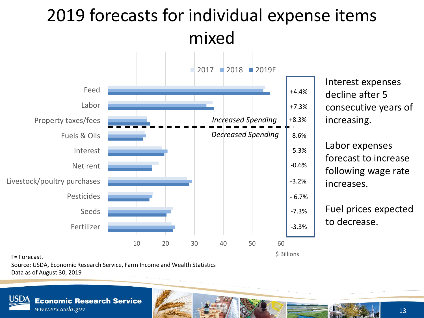## 2019 forecasts for individual expense items mixed



Interest expenses decline after 5 consecutive years of increasing.

Labor expenses forecast to increase following wage rate increases.

Fuel prices expected to decrease.

F= Forecast.

Source: USDA, Economic Research Service, Farm Income and Wealth Statistics Data as of August 30, 2019

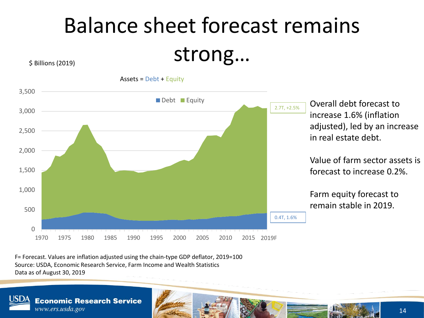# Balance sheet forecast remains strong…

\$ Billions (2019)



F= Forecast. Values are inflation adjusted using the chain-type GDP deflator, 2019=100 Source: USDA, Economic Research Service, Farm Income and Wealth Statistics Data as of August 30, 2019

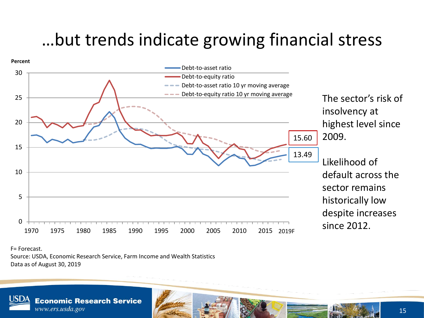## …but trends indicate growing financial stress



F= Forecast.

Source: USDA, Economic Research Service, Farm Income and Wealth Statistics Data as of August 30, 2019

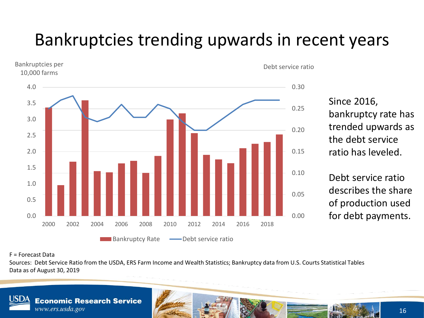## Bankruptcies trending upwards in recent years



Since 2016, bankruptcy rate has trended upwards as the debt service ratio has leveled.

Debt service ratio describes the share of production used for debt payments.

### F = Forecast Data

Sources: Debt Service Ratio from the USDA, ERS Farm Income and Wealth Statistics; Bankruptcy data from U.S. Courts Statistical Tables Data as of August 30, 2019

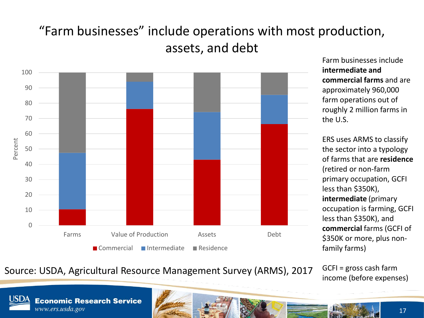### "Farm businesses" include operations with most production, assets, and debt



Farm businesses include **intermediate and commercial farms** and are approximately 960,000 farm operations out of roughly 2 million farms in the U.S.

ERS uses ARMS to classify the sector into a typology of farms that are **residence** (retired or non-farm primary occupation, GCFI less than \$350K), **intermediate** (primary occupation is farming, GCFI less than \$350K), and **commercial** farms (GCFI of \$350K or more, plus nonfamily farms)

### Source: USDA, Agricultural Resource Management Survey (ARMS), 2017 <sup>GCFI = gross cash tarm</sup><br>income (before expenses)

GCFI = gross cash farm

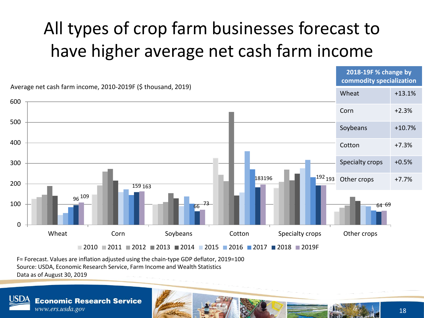## All types of crop farm businesses forecast to have higher average net cash farm income



F= Forecast. Values are inflation adjusted using the chain-type GDP deflator, 2019=100 Source: USDA, Economic Research Service, Farm Income and Wealth Statistics Data as of August 30, 2019

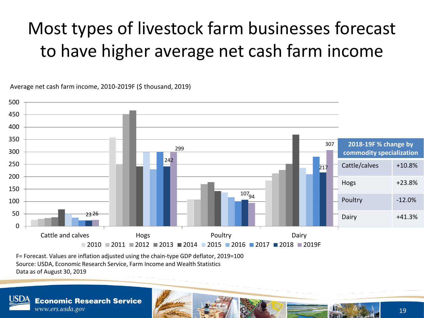## Most types of livestock farm businesses forecast to have higher average net cash farm income

**2018-19F % change by commodity specialization** Cattle/calves +10.8% Hogs +23.8% Poultry 12.0% 2326 | Dairy +41.3% | Dairy +41.3% | Dairy +41.3% | Dairy +41.3% | Dairy +41.3% | Dairy 242  $\frac{107}{94}$ 217 2326 299 307  $\Omega$ 50 100 150 200 250 300 350 400 450 500 Cattle and calves **Cattle and calves Hogs Poultry Poultry Dairy**  $-2010 - 2011 - 2012 - 2013 - 2014 - 2015 - 2016 - 2017 - 2018 - 2019$ F

Average net cash farm income, 2010-2019F (\$ thousand, 2019)

F= Forecast. Values are inflation adjusted using the chain-type GDP deflator, 2019=100 Source: USDA, Economic Research Service, Farm Income and Wealth Statistics Data as of August 30, 2019

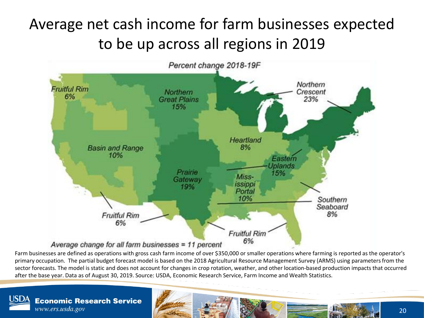### Average net cash income for farm businesses expected to be up across all regions in 2019



Average change for all farm businesses = 11 percent

Farm businesses are defined as operations with gross cash farm income of over \$350,000 or smaller operations where farming is reported as the operator's primary occupation. The partial budget forecast model is based on the 2018 Agricultural Resource Management Survey (ARMS) using parameters from the sector forecasts. The model is static and does not account for changes in crop rotation, weather, and other location-based production impacts that occurred after the base year. Data as of August 30, 2019. Source: USDA, Economic Research Service, Farm Income and Wealth Statistics.

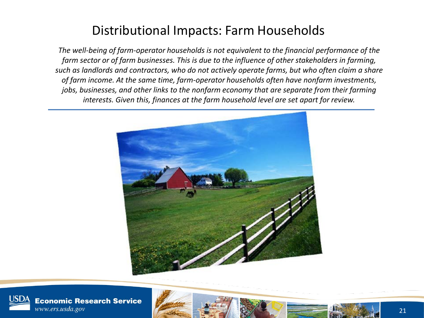### Distributional Impacts: Farm Households

*The well-being of farm-operator households is not equivalent to the financial performance of the farm sector or of farm businesses. This is due to the influence of other stakeholders in farming, such as landlords and contractors, who do not actively operate farms, but who often claim a share of farm income. At the same time, farm-operator households often have nonfarm investments, jobs, businesses, and other links to the nonfarm economy that are separate from their farming interests. Given this, finances at the farm household level are set apart for review.* 



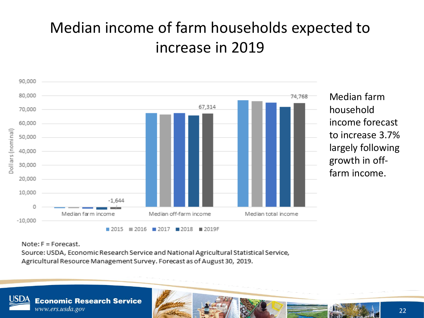### Median income of farm households expected to increase in 2019



Median farm household income forecast to increase 3.7% largely following growth in offfarm income.

Note:  $F =$  Forecast.

Source: USDA, Economic Research Service and National Agricultural Statistical Service, Agricultural Resource Management Survey. Forecast as of August 30, 2019.

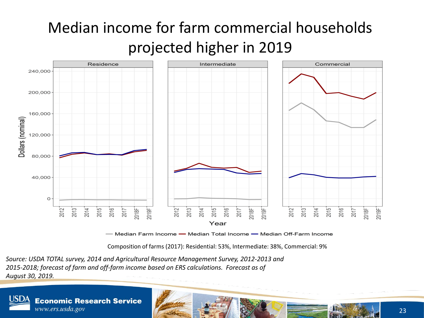## Median income for farm commercial households projected higher in 2019



— Median Farm Income — Median Total Income — Median Off-Farm Income

Composition of farms (2017): Residential: 53%, Intermediate: 38%, Commercial: 9%

*Source: USDA TOTAL survey, 2014 and Agricultural Resource Management Survey, 2012-2013 and 2015-2018; forecast of farm and off-farm income based on ERS calculations. Forecast as of August 30, 2019.* 

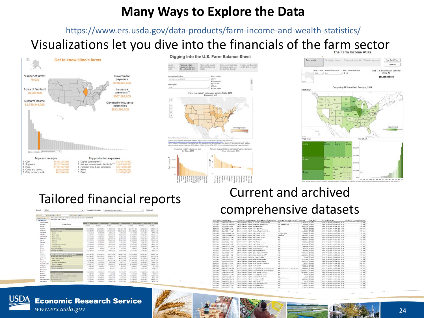### **Many Ways to Explore the Data**

Visualizations let you dive into the financials of the farm sector https://www.ers.usda.gov/data-products/farm-income-and-wealth-statistics/

Digging Into the U.S. Farm Balance Sheet



Form real estate" unlises rur ante bu State . 2014  $(x)$ : All  $\Omega$  $\begin{array}{cc} \star & \text{if} & \text{if} & \text{if} \\ \end{array}$  $\frac{1}{2}$ 



| Decade                                           | 2010          |                                                                          | Nomenati year defines<br>٠ |                     | Nominal (current dollars) |              |                   | Submit.<br>٠      |                  |  |  |  |  |
|--------------------------------------------------|---------------|--------------------------------------------------------------------------|----------------------------|---------------------|---------------------------|--------------|-------------------|-------------------|------------------|--|--|--|--|
| $44 - 411$                                       |               | mediators and a<br>$0733 - 0.1$                                          |                            |                     |                           |              |                   |                   |                  |  |  |  |  |
| Disnaport Plan                                   |               | Value estimates the U.S. connors, by the agressible assets. 2010-2014F   |                            |                     |                           |              |                   |                   |                  |  |  |  |  |
| Ua Grateriotti<br><b>University</b><br>Alatimia. |               | Norvinal drument dodgraft                                                |                            |                     |                           |              |                   |                   |                  |  |  |  |  |
|                                                  |               | <b>PECC</b><br>7.533<br><b>FITE</b><br>$-1311$<br>FIII<br>71681<br>0.243 |                            |                     |                           |              |                   |                   |                  |  |  |  |  |
|                                                  |               | <b>Linked Diales</b>                                                     | \$1,000                    | \$1,000             | \$1,000                   | #4 cian      | \$1,000           | 81,000            | \$1,000          |  |  |  |  |
| <b>Nadki</b>                                     |               |                                                                          |                            |                     |                           |              |                   |                   |                  |  |  |  |  |
| Arizene                                          |               | When of crew production                                                  | <b>158.122.783</b>         | 190.336.705         | 212.007.508               | 251642, 156  | 356.071.158       | 185,795,487       | 185,205,813      |  |  |  |  |
| Arkansas                                         |               | Cano can't researe                                                       | 103,065,874                | 201043-024          | 231814279                 | 220 842 243  | 211,562,653       | 106,484,535       | 166,452,013      |  |  |  |  |
| cathyaia                                         |               | Consei                                                                   | <b>PANAMA</b>              | F.303.572           | 1,553,448                 | 6515834      | 7.111.338         | 4213543           | 6,275,375        |  |  |  |  |
| <b>Ciliebile</b>                                 |               | Elend arrune                                                             | <b>66,542,767</b>          | 21213.544           | 82 134 836                | 70.635.4.71  | 49.371 AFR        | <b>STONARTS</b>   | 99.024.041       |  |  |  |  |
| Contactorul                                      |               | <b>Flood grams</b>                                                       | 14,314,379                 | 14.627.336          | 19:292.117                | 17,230,635   | <b>16.050.065</b> | 52,414,539        | 10,879.176       |  |  |  |  |
| Delaware                                         |               | Fruits and note                                                          | 21.012.927                 | 24,106,200          | 20.107,018                | 29908354     | 31.430.223        | 27,064,020        | 24.156.384       |  |  |  |  |
| Florida                                          |               | <b>CELIVAN</b>                                                           | 39.044.912                 | 31,324,589          | 40.925.002                | 47.274.387   | 82.020.034        | 35, 141, 004      | 40,600,654       |  |  |  |  |
| Georgia                                          |               | Stacia                                                                   | 1.1 M. SAY                 | 5.138.735           | 1.347847                  | 1.648.801    | 1,710,626         | 1,081,057         | 2,014,373        |  |  |  |  |
| Mark 4-1                                         |               | Maximilines and manners                                                  | 17,454,437                 | 17.616.342          | 17412748                  | 10.417344    | 18.971.458        | 19.7 ek ón il.    | 18,331,454       |  |  |  |  |
| Maker                                            |               | At other small                                                           | 38.548.455                 | 39,352,113          | 20.189.171                | 28.122.543   | 27.190.012        | 37.39A A71        | 29 RA Library    |  |  |  |  |
| <b>Warin</b>                                     |               | <b>Florida correctivization</b>                                          | <b><i>SR &amp; TH</i></b>  | 36,072              | 156,138                   | 197,010      | 238,621           | 255,558           | 381,543          |  |  |  |  |
| <b>MAGAZIA</b>                                   |               | <b><i>ENERGY ARGEMENT</i></b>                                            | 12126.976                  | 4,791,981           | TOLK FR 811               | 12431898     | 4.431.216         | <b>B.DAY NOR</b>  | $-1.826341$      |  |  |  |  |
| kan te                                           |               |                                                                          |                            |                     |                           |              |                   |                   |                  |  |  |  |  |
| <b>Kansas</b>                                    |               | Volume of announced and provincity productions                           | 145 198.705                | 165,654,541         | 165 115 500               | 180.081.798  | 214.4x2.688       | $-54987418$       | 164,857,544      |  |  |  |  |
| <b>Kantiutuli e</b>                              |               | Animals and products cost receipts                                       | 143.034.987                | 154,736,814         | 160.618.779               | 182 TS4 A15  | 212 792 576       | 159,745,675       | 100,375,114      |  |  |  |  |
| Lietviele                                        |               | Early plotters, see-                                                     | 11.192.54A                 | <b>StrAin Julet</b> | 37 044 FM                 | 45.274.718   | 49.182.955        | 34.936.5x8        | 11544,775        |  |  |  |  |
| Plaze                                            |               | <b>Insistramment</b>                                                     | <b>SIX TAX TRU</b>         | 81811.111           | 8111221W                  | 91, 218, 626 | 127, très 183     | ids.2011130       | 86,211,629       |  |  |  |  |
| Hardout.                                         |               | <b>Inspectaneous Eventori</b>                                            | 5,018.245                  | 1,902.001           | 9,293,069                 | 9.841.177    | 7.050.904         | 6,740,983         | 1,531,291        |  |  |  |  |
| Finish in This Artists<br>PRINCEY                |               | Foulty and edge                                                          | 34.090.577                 | 35.442.443          | 30.203.247                | 44, 964, 029 | 49, 106, 654      | <b>40,010,020</b> | 26.281.612       |  |  |  |  |
|                                                  |               | Morris companicher                                                       | 299,792                    | 299,291             | 228,243                   | 829.264      | <b>Juli Gry</b>   | 363.95 F          | 376,056          |  |  |  |  |
| <b>Planingate</b>                                |               | <b>Englands by Jack and many</b>                                         | 426,665                    | A 3-24, 705         | Jak 4 Tolet               | $2663 + 46$  | 1.301.421         | <b>K427 680</b>   | 1,649,175        |  |  |  |  |
| <b>Place surgeon</b>                             |               |                                                                          |                            |                     |                           |              |                   |                   |                  |  |  |  |  |
| Placears                                         |               | <b>Farm required income</b>                                              | 35,780,509                 | 45,934,150          | \$7,138,428               | 58,187,727   | \$2,074,971       | 21,520,452        | 49,539,571       |  |  |  |  |
| <b>Hurtana</b>                                   |               | Forwarized units sold.                                                   | 400,531                    | 454,067             | 495,202                   | 957.938      | 041,434           | 096.218           | 237,658          |  |  |  |  |
| <b>Doubal and an</b>                             |               | Drops engined remains below of home deadlings.                           | 15,267,770                 | 16178.175           | 17.675.000                | CT.185,797   | 16,300,721        | 17.139.758        | 18.306.561       |  |  |  |  |
| <b><i><u>Second</u></i></b>                      |               | Machine hine and customership                                            | 3.608.710                  | 3,952,952           | 3,953,748                 | 4.445.768    | 4,400,904         | 4,085,936         | 4,503,876        |  |  |  |  |
|                                                  | fant rompakin | Citrus flam 2010/06                                                      | 15,742,965                 | 24,339,465          | 34882531                  | 16.072.306   | 31,424,292        | 38,098,640        | 24.523.031       |  |  |  |  |
| <b>Family Editorial</b>                          |               | Total community mountains instead they                                   | 4778.900                   | 0.706.912           | 14.451.495                | 15182454     | 10,405,416        | a title MP.       | <b>K.245 347</b> |  |  |  |  |

### Tailored financial reports Current and archived comprehensive datasets

|                | year state artificialismy | Variable the script is a tickel Variable tie script insurances | warishlamascriptionRost? Amenat |                                | unit dasc             | <b>Publication Date</b>               | Chaintyne GDP Fefix |
|----------------|---------------------------|----------------------------------------------------------------|---------------------------------|--------------------------------|-----------------------|---------------------------------------|---------------------|
| 2016 US        | CRAINING-AMP              | Cash reserver value, all could convince that                   | $-41$                           | 852873327 51,000               |                       | Different of Top Heridaer St. 2014    | 111.                |
| 2016 US        | CRAUSACIONAR              | Cash receipts value, other All other order                     | All other crops                 | 27542500 53,000                |                       | Data as of highwriter 30, 2016        | 3.11.1              |
| zeze us        | CRAUSER-GAR               | Calify recentring a hum brock because's                        | 748                             | 26476333 03.000                |                       | Data as of November 30, 2016          | <b>TAL</b>          |
| 2016 US        | CRAINSY-VARE              | Cash receipts salue, parte barley                              | $-48$                           |                                | 914041 51,000         | Data as of November 33, 2014          | 111                 |
| 2016 05        | CRAUSCHPAUGH              | Cash receipts natue, fame chans chickens.                      | $-48$                           |                                | 35228 51,000          | Data as of Norvember 30, 2016         | 111                 |
| 2010/03        | CRAUSEL-UMP               | Cash receipts value, pittle Cattle and palvas.                 | $-41$                           | 6662020E 53.000                |                       | Distance of November 30, 2016         | 355.7               |
| 1016 115       | CRAINTIE SVAP             | Captureceipts exture, pottor Cattlers Drift                    | Lürigsfagile                    |                                | 367020 11,000         | Data as of November 30, 1914          | \$55.7              |
| 2016 US        | CRAINFOR PUMP             | Cash receipts value, cotto: Catton list                        | <b>Updand</b>                   | 4531022.53.000                 |                       | Data oc of November 35, 2014          | 111.1               |
| 1014 US        | CRALISON: NIAP            | Carib receipts estual, politic Colligation                     | ALL II                          | 4937253 53,000                 |                       | Dalla es el Novembre 30, 1016         | 111.                |
| 2014 115       | CRAINED-NAP               | Cash receipts value, props drops                               | 441                             | 186493019 53,000               |                       | Duta as of foreverdore 30, 2016       | 111                 |
| 7016702        | CRAUSCR-NAP               | Cash receipts value, com., Com-                                | <b>ME</b>                       | A6193932 51,000                |                       | Data es of November 33, 2016          | 111.                |
| 2016 US        | CRAUSCE - UNE             | Cash research value, cotton Cottoncoaud                        | dan.                            |                                | 951922 51,000         | Data as of November 30, 2014          | 3.3.3.1             |
| <b>1016 UE</b> | CRAUSCE - Loke            | Cards reported to suburn, restrict Codition.                   | <b>SAT</b>                      | 577(17) 51,000                 |                       | Outs us of Nonsymbar 30, 1914.        | 3.5.1.1             |
| 2016.3/8       | CRAUSCH - 1/AP            | Casty reservoirs estual, came 1 Came for sugger                | $-48$                           | 1049941 \$1,000                |                       | Data as of November 30, 2016          | 111.1               |
| 2016/08        | CRAINCE-NAME              | Cash research value, canel Canola.                             | <b>ALL</b>                      |                                | 4593 SS SL 600        | Data in of November 30, 2016          | <b>BRET</b>         |
| 2016.08        | <b>ORAUSOK-ASSP</b>       | Cash receipts value, dry bilDry bears                          | <b>ALL</b>                      |                                | <b>REFARR \$1,000</b> | Data in of November 83, 1916          | 111.                |
| 7616.US        | CRAUSDY- NAME             | Cash receipts value, dany Dairy products                       | <b>ALL</b>                      | 83944278 \$1,000               |                       | Data as of favourabor 30, 7016        | 333.1               |
| <b>JOTA US</b> | <b>CRAUSED (VAR)</b>      | Carly reserves a study sharing Chiefs are support              | $-41$                           | A31000FF C3, 000               |                       | Daha as of November 33, 1914.         | \$3.5.7             |
| 2016/1/3       | CRADSFE-USP               | Cash receipts value, feed i fixed stock                        | $-41$                           | 1100/0903 \$1,000              |                       | that's as of taxonomings by this      | 353.7               |
| <b>JO16 US</b> | <b>CRAUGFL-VOM</b> *      | Chift-recentric value. Stanid Flaciand                         | $-41$                           |                                | ££203 51,000          | Data as of forcember 33, 2016         | 111.                |
| 2016 US        | CRAUSTS&-AIAP             | Cash receipts value, fruits inuita/Nues                        | $-41$                           | 25100304 53,000                |                       | Outs as of highersher 30, 2016        | 111                 |
| 2016 US        | CRAINFOUNDRY              | Cash receipts value food (hood grans                           | Learn.                          | 10979176 51,000                |                       | Data as of top-sendar 30, 2014        | iii.                |
| 2016 05        | CRAUSTE-VAN               | Cash receipts value, forest Forest, products                   | <b>MAR</b>                      |                                | 727224 51,000         | <b>Data as of the camber 23, 2014</b> | 111                 |
| rese us        | CRAUSHS-NMF               | Cash receipts nature friggs . Hoppy                            | <b>SME</b>                      | L9583722 (1.660)               |                       | Data as of Norwegian 30, 2014.        | 335.0               |
| 2424.05        | CRALISING SURP            | Cash receipts satus, nov. 1989.                                | A46                             | CSTROPS CLOSE                  |                       | Data as of November 30, 1914          | 155.7               |
| 1014 US        | CRAININGHAM               | Cash resistors estua, Svest Animals and products               | Altorellaneous animals and      | £343294 (1,000)                |                       | Data as of November 35, 2016          | 111.1               |
| 1016 US        | CRAUSLY - USP             | Cash receipts estus, livest animals and products.              | ALL <sub>1</sub>                | 166375114 51,000               |                       | Data as of favorement 35, 2016        | 111                 |
| 1014 US        | CRAINMA - VAP             | Carib receitata value, wend Adeal arcenais.                    | ALL I                           | R4211927 51.000                |                       | Data as of November 30, 2014.         | 111.1               |
| 2016 1/1       | CRAINING-VAP              | Digity receipts value, visital Proto millart                   | <b>ALL</b>                      |                                | 37702 51,000          | thats on of feaverstoor 30, 2016      | 333.7               |
| 245,448        | CRAINVASSENAP             | Cardy research eature, month Munterdown 4                      | ALL 1                           |                                | 0202.51,000           | Data as of Necessales 30, 2014        | 333.7               |
| 2014-119       | CRASSINGMOVE              | Cash requisits value, ad on Od creats                          | <b>Missimillaneouse</b>         |                                | 470595 \$1,000        | Dutca on of Novemenham 90, 2014.      | 111.1               |
| 2016 US        | <b>CRAUSDC-VAR</b>        | Cash receipts value, oil are Oil crops                         | $-41$                           | <b><i>ASSECOSS \$1,000</i></b> |                       | Data as of November 30, 7014          | 333.1               |
| 7016 05        | CRADITOR AVE              | Cash reserves salves naty, Oats                                | A1                              |                                | 77129 51,000          | Data as of Norwerder 80, 1914         | 111.1               |
| 2016/08        | CRAINED AMP               | Cashmeesigts value, pourt Poultra/Essa                         | <b>ALL</b>                      | 19201635 \$1,000               |                       | Duta in of foovember 30, 1014         | 333.1               |
| 2016.08        | <b>ORALISPIN-NOAR</b>     | Cash receipts estual progre Peanuts                            | A1                              | 114/022 51,000                 |                       | Data as of November 30, 2016          | 111.1               |
| 2026.328       | CRALISPOL-NAP             | Cash receipts value. pot it Potatests                          | $-41$                           | #7K#751 \$1,000                |                       | Outs as of top control ar int. 1914.  | 853.1               |
|                |                           |                                                                |                                 |                                |                       |                                       |                     |

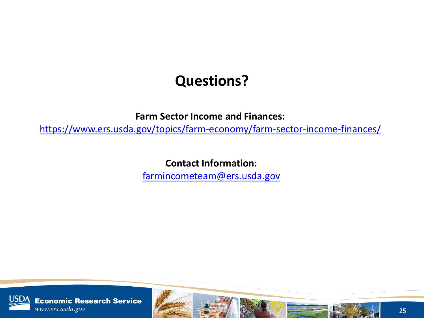### **Questions?**

**Farm Sector Income and Finances:**

https://www.ers.usda.gov/topics/farm-economy/farm-sector-income-finances/

**Contact Information:** 

[farmincometeam@ers.usda.gov](mailto:farmincometeam@ers.usda.gov)